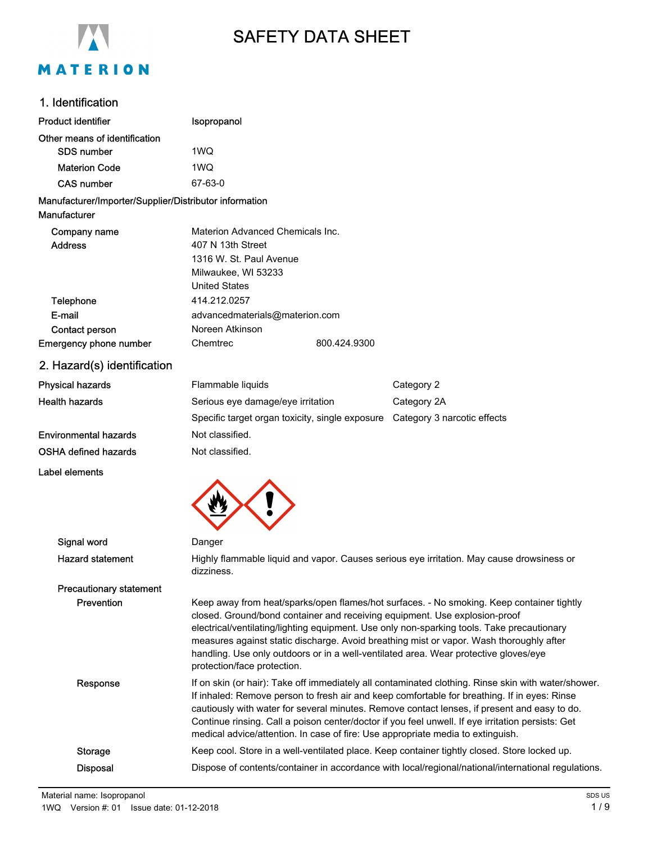

# SAFETY DATA SHEET

# 1. Identification

| Product identifier                                                     | Isopropanol                                                                                                                                                                                                                                                                                                                                                                                                                                                                                 |              |                                                                                              |
|------------------------------------------------------------------------|---------------------------------------------------------------------------------------------------------------------------------------------------------------------------------------------------------------------------------------------------------------------------------------------------------------------------------------------------------------------------------------------------------------------------------------------------------------------------------------------|--------------|----------------------------------------------------------------------------------------------|
| Other means of identification                                          |                                                                                                                                                                                                                                                                                                                                                                                                                                                                                             |              |                                                                                              |
| <b>SDS number</b>                                                      | 1WQ                                                                                                                                                                                                                                                                                                                                                                                                                                                                                         |              |                                                                                              |
| <b>Materion Code</b>                                                   | 1WQ                                                                                                                                                                                                                                                                                                                                                                                                                                                                                         |              |                                                                                              |
| <b>CAS number</b>                                                      | 67-63-0                                                                                                                                                                                                                                                                                                                                                                                                                                                                                     |              |                                                                                              |
| Manufacturer/Importer/Supplier/Distributor information<br>Manufacturer |                                                                                                                                                                                                                                                                                                                                                                                                                                                                                             |              |                                                                                              |
| Company name<br><b>Address</b>                                         | Materion Advanced Chemicals Inc.<br>407 N 13th Street<br>1316 W. St. Paul Avenue<br>Milwaukee, WI 53233<br><b>United States</b>                                                                                                                                                                                                                                                                                                                                                             |              |                                                                                              |
| Telephone                                                              | 414.212.0257                                                                                                                                                                                                                                                                                                                                                                                                                                                                                |              |                                                                                              |
| E-mail                                                                 | advancedmaterials@materion.com                                                                                                                                                                                                                                                                                                                                                                                                                                                              |              |                                                                                              |
| Contact person                                                         | Noreen Atkinson                                                                                                                                                                                                                                                                                                                                                                                                                                                                             |              |                                                                                              |
| <b>Emergency phone number</b>                                          | Chemtrec                                                                                                                                                                                                                                                                                                                                                                                                                                                                                    | 800.424.9300 |                                                                                              |
| 2. Hazard(s) identification                                            |                                                                                                                                                                                                                                                                                                                                                                                                                                                                                             |              |                                                                                              |
| <b>Physical hazards</b>                                                | Flammable liquids                                                                                                                                                                                                                                                                                                                                                                                                                                                                           |              | Category 2                                                                                   |
| <b>Health hazards</b>                                                  | Serious eye damage/eye irritation                                                                                                                                                                                                                                                                                                                                                                                                                                                           |              | Category 2A                                                                                  |
|                                                                        | Specific target organ toxicity, single exposure  Category 3 narcotic effects                                                                                                                                                                                                                                                                                                                                                                                                                |              |                                                                                              |
| <b>Environmental hazards</b>                                           | Not classified.                                                                                                                                                                                                                                                                                                                                                                                                                                                                             |              |                                                                                              |
| OSHA defined hazards                                                   | Not classified.                                                                                                                                                                                                                                                                                                                                                                                                                                                                             |              |                                                                                              |
| Label elements                                                         |                                                                                                                                                                                                                                                                                                                                                                                                                                                                                             |              |                                                                                              |
|                                                                        |                                                                                                                                                                                                                                                                                                                                                                                                                                                                                             |              |                                                                                              |
| Signal word                                                            | Danger                                                                                                                                                                                                                                                                                                                                                                                                                                                                                      |              |                                                                                              |
| <b>Hazard statement</b>                                                | dizziness.                                                                                                                                                                                                                                                                                                                                                                                                                                                                                  |              | Highly flammable liquid and vapor. Causes serious eye irritation. May cause drowsiness or    |
| <b>Precautionary statement</b>                                         |                                                                                                                                                                                                                                                                                                                                                                                                                                                                                             |              |                                                                                              |
| Prevention                                                             | Keep away from heat/sparks/open flames/hot surfaces. - No smoking. Keep container tightly<br>closed. Ground/bond container and receiving equipment. Use explosion-proof<br>electrical/ventilating/lighting equipment. Use only non-sparking tools. Take precautionary<br>measures against static discharge. Avoid breathing mist or vapor. Wash thoroughly after<br>handling. Use only outdoors or in a well-ventilated area. Wear protective gloves/eye<br>protection/face protection.     |              |                                                                                              |
| Response                                                               | If on skin (or hair): Take off immediately all contaminated clothing. Rinse skin with water/shower.<br>If inhaled: Remove person to fresh air and keep comfortable for breathing. If in eyes: Rinse<br>cautiously with water for several minutes. Remove contact lenses, if present and easy to do.<br>Continue rinsing. Call a poison center/doctor if you feel unwell. If eye irritation persists: Get<br>medical advice/attention. In case of fire: Use appropriate media to extinguish. |              |                                                                                              |
| <b>Storage</b>                                                         |                                                                                                                                                                                                                                                                                                                                                                                                                                                                                             |              | Keep cool. Store in a well-ventilated place. Keep container tightly closed. Store locked up. |
| <b>Disposal</b>                                                        | Dispose of contents/container in accordance with local/regional/national/international regulations.                                                                                                                                                                                                                                                                                                                                                                                         |              |                                                                                              |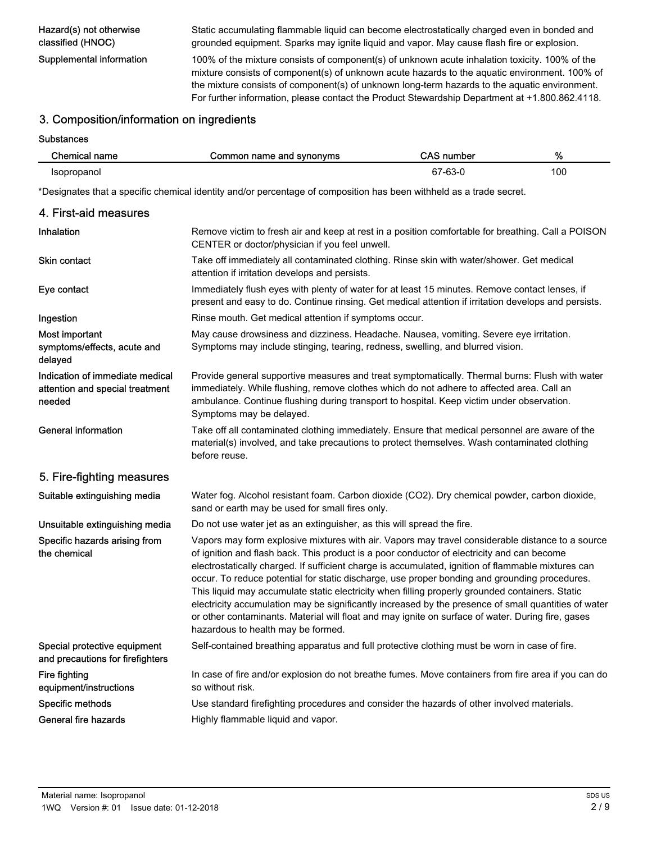Hazard(s) not otherwise classified (HNOC)

Static accumulating flammable liquid can become electrostatically charged even in bonded and grounded equipment. Sparks may ignite liquid and vapor. May cause flash fire or explosion.

Supplemental information 100% of the mixture consists of component(s) of unknown acute inhalation toxicity. 100% of the mixture consists of component(s) of unknown acute hazards to the aquatic environment. 100% of the mixture consists of component(s) of unknown long-term hazards to the aquatic environment. For further information, please contact the Product Stewardship Department at +1.800.862.4118.

### 3. Composition/information on ingredients

**Substances** 

| Chemical name | Common name and synonyms | <b>CAS number</b> | %   |
|---------------|--------------------------|-------------------|-----|
| Isopropanol   |                          | 67-63-0           | 100 |

\*Designates that a specific chemical identity and/or percentage of composition has been withheld as a trade secret.

| 4. First-aid measures                                                        |                                                                                                                                                                                                                                                                                                                                                                                                                                                                                                                                                                                                                                                                                                                                                             |
|------------------------------------------------------------------------------|-------------------------------------------------------------------------------------------------------------------------------------------------------------------------------------------------------------------------------------------------------------------------------------------------------------------------------------------------------------------------------------------------------------------------------------------------------------------------------------------------------------------------------------------------------------------------------------------------------------------------------------------------------------------------------------------------------------------------------------------------------------|
| <b>Inhalation</b>                                                            | Remove victim to fresh air and keep at rest in a position comfortable for breathing. Call a POISON<br>CENTER or doctor/physician if you feel unwell.                                                                                                                                                                                                                                                                                                                                                                                                                                                                                                                                                                                                        |
| <b>Skin contact</b>                                                          | Take off immediately all contaminated clothing. Rinse skin with water/shower. Get medical<br>attention if irritation develops and persists.                                                                                                                                                                                                                                                                                                                                                                                                                                                                                                                                                                                                                 |
| Eye contact                                                                  | Immediately flush eyes with plenty of water for at least 15 minutes. Remove contact lenses, if<br>present and easy to do. Continue rinsing. Get medical attention if irritation develops and persists.                                                                                                                                                                                                                                                                                                                                                                                                                                                                                                                                                      |
| Ingestion                                                                    | Rinse mouth. Get medical attention if symptoms occur.                                                                                                                                                                                                                                                                                                                                                                                                                                                                                                                                                                                                                                                                                                       |
| Most important<br>symptoms/effects, acute and<br>delayed                     | May cause drowsiness and dizziness. Headache. Nausea, vomiting. Severe eye irritation.<br>Symptoms may include stinging, tearing, redness, swelling, and blurred vision.                                                                                                                                                                                                                                                                                                                                                                                                                                                                                                                                                                                    |
| Indication of immediate medical<br>attention and special treatment<br>needed | Provide general supportive measures and treat symptomatically. Thermal burns: Flush with water<br>immediately. While flushing, remove clothes which do not adhere to affected area. Call an<br>ambulance. Continue flushing during transport to hospital. Keep victim under observation.<br>Symptoms may be delayed.                                                                                                                                                                                                                                                                                                                                                                                                                                        |
| <b>General information</b>                                                   | Take off all contaminated clothing immediately. Ensure that medical personnel are aware of the<br>material(s) involved, and take precautions to protect themselves. Wash contaminated clothing<br>before reuse.                                                                                                                                                                                                                                                                                                                                                                                                                                                                                                                                             |
| 5. Fire-fighting measures                                                    |                                                                                                                                                                                                                                                                                                                                                                                                                                                                                                                                                                                                                                                                                                                                                             |
| Suitable extinguishing media                                                 | Water fog. Alcohol resistant foam. Carbon dioxide (CO2). Dry chemical powder, carbon dioxide,<br>sand or earth may be used for small fires only.                                                                                                                                                                                                                                                                                                                                                                                                                                                                                                                                                                                                            |
| Unsuitable extinguishing media                                               | Do not use water jet as an extinguisher, as this will spread the fire.                                                                                                                                                                                                                                                                                                                                                                                                                                                                                                                                                                                                                                                                                      |
| Specific hazards arising from<br>the chemical                                | Vapors may form explosive mixtures with air. Vapors may travel considerable distance to a source<br>of ignition and flash back. This product is a poor conductor of electricity and can become<br>electrostatically charged. If sufficient charge is accumulated, ignition of flammable mixtures can<br>occur. To reduce potential for static discharge, use proper bonding and grounding procedures.<br>This liquid may accumulate static electricity when filling properly grounded containers. Static<br>electricity accumulation may be significantly increased by the presence of small quantities of water<br>or other contaminants. Material will float and may ignite on surface of water. During fire, gases<br>hazardous to health may be formed. |
| Special protective equipment<br>and precautions for firefighters             | Self-contained breathing apparatus and full protective clothing must be worn in case of fire.                                                                                                                                                                                                                                                                                                                                                                                                                                                                                                                                                                                                                                                               |
| Fire fighting<br>equipment/instructions                                      | In case of fire and/or explosion do not breathe fumes. Move containers from fire area if you can do<br>so without risk.                                                                                                                                                                                                                                                                                                                                                                                                                                                                                                                                                                                                                                     |
| Specific methods                                                             | Use standard firefighting procedures and consider the hazards of other involved materials.                                                                                                                                                                                                                                                                                                                                                                                                                                                                                                                                                                                                                                                                  |
| General fire hazards                                                         | Highly flammable liquid and vapor.                                                                                                                                                                                                                                                                                                                                                                                                                                                                                                                                                                                                                                                                                                                          |
|                                                                              |                                                                                                                                                                                                                                                                                                                                                                                                                                                                                                                                                                                                                                                                                                                                                             |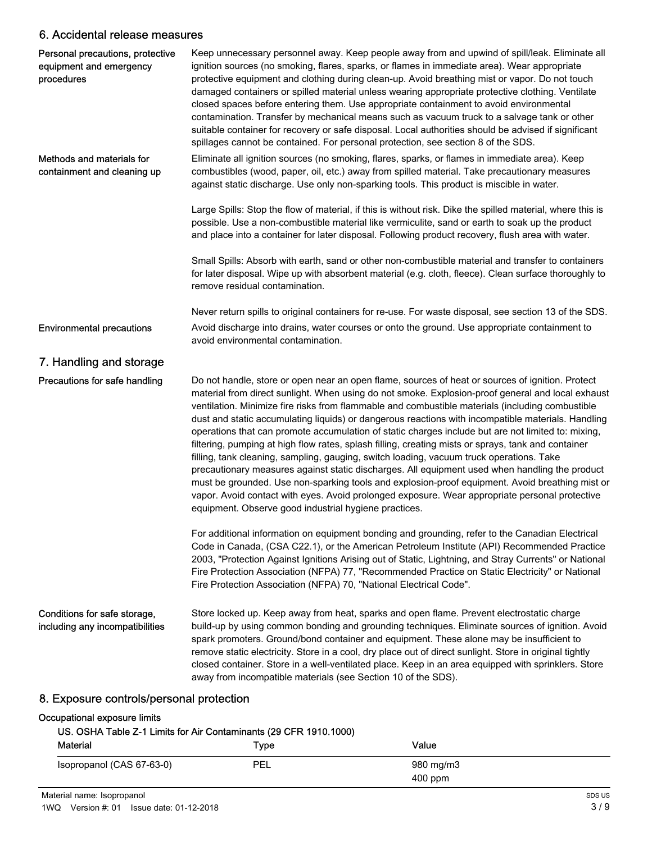# 6. Accidental release measures

| Personal precautions, protective<br>equipment and emergency<br>procedures | Keep unnecessary personnel away. Keep people away from and upwind of spill/leak. Eliminate all<br>ignition sources (no smoking, flares, sparks, or flames in immediate area). Wear appropriate<br>protective equipment and clothing during clean-up. Avoid breathing mist or vapor. Do not touch<br>damaged containers or spilled material unless wearing appropriate protective clothing. Ventilate<br>closed spaces before entering them. Use appropriate containment to avoid environmental<br>contamination. Transfer by mechanical means such as vacuum truck to a salvage tank or other<br>suitable container for recovery or safe disposal. Local authorities should be advised if significant<br>spillages cannot be contained. For personal protection, see section 8 of the SDS.                                                                                                                                                                                                                                                                                               |
|---------------------------------------------------------------------------|------------------------------------------------------------------------------------------------------------------------------------------------------------------------------------------------------------------------------------------------------------------------------------------------------------------------------------------------------------------------------------------------------------------------------------------------------------------------------------------------------------------------------------------------------------------------------------------------------------------------------------------------------------------------------------------------------------------------------------------------------------------------------------------------------------------------------------------------------------------------------------------------------------------------------------------------------------------------------------------------------------------------------------------------------------------------------------------|
| Methods and materials for<br>containment and cleaning up                  | Eliminate all ignition sources (no smoking, flares, sparks, or flames in immediate area). Keep<br>combustibles (wood, paper, oil, etc.) away from spilled material. Take precautionary measures<br>against static discharge. Use only non-sparking tools. This product is miscible in water.                                                                                                                                                                                                                                                                                                                                                                                                                                                                                                                                                                                                                                                                                                                                                                                             |
|                                                                           | Large Spills: Stop the flow of material, if this is without risk. Dike the spilled material, where this is<br>possible. Use a non-combustible material like vermiculite, sand or earth to soak up the product<br>and place into a container for later disposal. Following product recovery, flush area with water.                                                                                                                                                                                                                                                                                                                                                                                                                                                                                                                                                                                                                                                                                                                                                                       |
|                                                                           | Small Spills: Absorb with earth, sand or other non-combustible material and transfer to containers<br>for later disposal. Wipe up with absorbent material (e.g. cloth, fleece). Clean surface thoroughly to<br>remove residual contamination.                                                                                                                                                                                                                                                                                                                                                                                                                                                                                                                                                                                                                                                                                                                                                                                                                                            |
|                                                                           | Never return spills to original containers for re-use. For waste disposal, see section 13 of the SDS.                                                                                                                                                                                                                                                                                                                                                                                                                                                                                                                                                                                                                                                                                                                                                                                                                                                                                                                                                                                    |
| <b>Environmental precautions</b>                                          | Avoid discharge into drains, water courses or onto the ground. Use appropriate containment to<br>avoid environmental contamination.                                                                                                                                                                                                                                                                                                                                                                                                                                                                                                                                                                                                                                                                                                                                                                                                                                                                                                                                                      |
| 7. Handling and storage                                                   |                                                                                                                                                                                                                                                                                                                                                                                                                                                                                                                                                                                                                                                                                                                                                                                                                                                                                                                                                                                                                                                                                          |
| Precautions for safe handling                                             | Do not handle, store or open near an open flame, sources of heat or sources of ignition. Protect<br>material from direct sunlight. When using do not smoke. Explosion-proof general and local exhaust<br>ventilation. Minimize fire risks from flammable and combustible materials (including combustible<br>dust and static accumulating liquids) or dangerous reactions with incompatible materials. Handling<br>operations that can promote accumulation of static charges include but are not limited to: mixing,<br>filtering, pumping at high flow rates, splash filling, creating mists or sprays, tank and container<br>filling, tank cleaning, sampling, gauging, switch loading, vacuum truck operations. Take<br>precautionary measures against static discharges. All equipment used when handling the product<br>must be grounded. Use non-sparking tools and explosion-proof equipment. Avoid breathing mist or<br>vapor. Avoid contact with eyes. Avoid prolonged exposure. Wear appropriate personal protective<br>equipment. Observe good industrial hygiene practices. |
|                                                                           | For additional information on equipment bonding and grounding, refer to the Canadian Electrical<br>Code in Canada, (CSA C22.1), or the American Petroleum Institute (API) Recommended Practice<br>2003, "Protection Against Ignitions Arising out of Static, Lightning, and Stray Currents" or National<br>Fire Protection Association (NFPA) 77, "Recommended Practice on Static Electricity" or National<br>Fire Protection Association (NFPA) 70, "National Electrical Code".                                                                                                                                                                                                                                                                                                                                                                                                                                                                                                                                                                                                         |
| Conditions for safe storage,<br>including any incompatibilities           | Store locked up. Keep away from heat, sparks and open flame. Prevent electrostatic charge<br>build-up by using common bonding and grounding techniques. Eliminate sources of ignition. Avoid<br>spark promoters. Ground/bond container and equipment. These alone may be insufficient to<br>remove static electricity. Store in a cool, dry place out of direct sunlight. Store in original tightly<br>closed container. Store in a well-ventilated place. Keep in an area equipped with sprinklers. Store<br>away from incompatible materials (see Section 10 of the SDS).                                                                                                                                                                                                                                                                                                                                                                                                                                                                                                              |
|                                                                           |                                                                                                                                                                                                                                                                                                                                                                                                                                                                                                                                                                                                                                                                                                                                                                                                                                                                                                                                                                                                                                                                                          |

#### 8. Exposure controls/personal protection

#### Occupational exposure limits

#### US. OSHA Table Z-1 Limits for Air Contaminants (29 CFR 1910.1000)

| <b>Material</b>           | Type | Value     |  |
|---------------------------|------|-----------|--|
| Isopropanol (CAS 67-63-0) | PEL  | 980 mg/m3 |  |
|                           |      | $400$ ppm |  |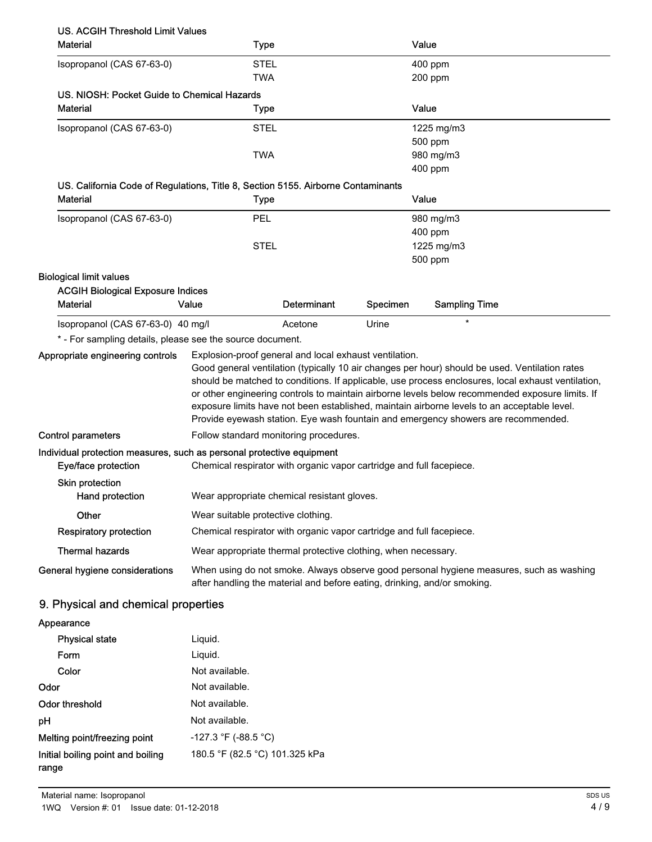| <b>Material</b>                                                                                     | <b>Type</b>                                                                                                                                                         |             |          | Value                                                                                                                                                                                                                                                                                                                                                                                                                                                                                       |  |
|-----------------------------------------------------------------------------------------------------|---------------------------------------------------------------------------------------------------------------------------------------------------------------------|-------------|----------|---------------------------------------------------------------------------------------------------------------------------------------------------------------------------------------------------------------------------------------------------------------------------------------------------------------------------------------------------------------------------------------------------------------------------------------------------------------------------------------------|--|
| Isopropanol (CAS 67-63-0)                                                                           | <b>STEL</b>                                                                                                                                                         |             |          | 400 ppm                                                                                                                                                                                                                                                                                                                                                                                                                                                                                     |  |
|                                                                                                     | <b>TWA</b>                                                                                                                                                          |             |          | 200 ppm                                                                                                                                                                                                                                                                                                                                                                                                                                                                                     |  |
| US. NIOSH: Pocket Guide to Chemical Hazards                                                         |                                                                                                                                                                     |             |          |                                                                                                                                                                                                                                                                                                                                                                                                                                                                                             |  |
| <b>Material</b>                                                                                     | <b>Type</b>                                                                                                                                                         |             |          | Value                                                                                                                                                                                                                                                                                                                                                                                                                                                                                       |  |
| Isopropanol (CAS 67-63-0)                                                                           | <b>STEL</b>                                                                                                                                                         |             |          | 1225 mg/m3                                                                                                                                                                                                                                                                                                                                                                                                                                                                                  |  |
|                                                                                                     |                                                                                                                                                                     |             |          | 500 ppm                                                                                                                                                                                                                                                                                                                                                                                                                                                                                     |  |
|                                                                                                     | <b>TWA</b>                                                                                                                                                          |             |          | 980 mg/m3                                                                                                                                                                                                                                                                                                                                                                                                                                                                                   |  |
|                                                                                                     |                                                                                                                                                                     |             |          | 400 ppm                                                                                                                                                                                                                                                                                                                                                                                                                                                                                     |  |
| US. California Code of Regulations, Title 8, Section 5155. Airborne Contaminants<br><b>Material</b> | <b>Type</b>                                                                                                                                                         |             |          | Value                                                                                                                                                                                                                                                                                                                                                                                                                                                                                       |  |
|                                                                                                     |                                                                                                                                                                     |             |          |                                                                                                                                                                                                                                                                                                                                                                                                                                                                                             |  |
| Isopropanol (CAS 67-63-0)                                                                           | PEL                                                                                                                                                                 |             |          | 980 mg/m3<br>400 ppm                                                                                                                                                                                                                                                                                                                                                                                                                                                                        |  |
|                                                                                                     | <b>STEL</b>                                                                                                                                                         |             |          | 1225 mg/m3                                                                                                                                                                                                                                                                                                                                                                                                                                                                                  |  |
|                                                                                                     |                                                                                                                                                                     |             |          | 500 ppm                                                                                                                                                                                                                                                                                                                                                                                                                                                                                     |  |
| <b>Biological limit values</b>                                                                      |                                                                                                                                                                     |             |          |                                                                                                                                                                                                                                                                                                                                                                                                                                                                                             |  |
| <b>ACGIH Biological Exposure Indices</b>                                                            |                                                                                                                                                                     |             |          |                                                                                                                                                                                                                                                                                                                                                                                                                                                                                             |  |
| <b>Material</b>                                                                                     | Value                                                                                                                                                               | Determinant | Specimen | <b>Sampling Time</b>                                                                                                                                                                                                                                                                                                                                                                                                                                                                        |  |
| Isopropanol (CAS 67-63-0) 40 mg/l                                                                   |                                                                                                                                                                     | Acetone     | Urine    | $\star$                                                                                                                                                                                                                                                                                                                                                                                                                                                                                     |  |
| * - For sampling details, please see the source document.                                           |                                                                                                                                                                     |             |          |                                                                                                                                                                                                                                                                                                                                                                                                                                                                                             |  |
| Appropriate engineering controls                                                                    | Explosion-proof general and local exhaust ventilation.                                                                                                              |             |          | Good general ventilation (typically 10 air changes per hour) should be used. Ventilation rates<br>should be matched to conditions. If applicable, use process enclosures, local exhaust ventilation,<br>or other engineering controls to maintain airborne levels below recommended exposure limits. If<br>exposure limits have not been established, maintain airborne levels to an acceptable level.<br>Provide eyewash station. Eye wash fountain and emergency showers are recommended. |  |
| <b>Control parameters</b>                                                                           | Follow standard monitoring procedures.                                                                                                                              |             |          |                                                                                                                                                                                                                                                                                                                                                                                                                                                                                             |  |
| Individual protection measures, such as personal protective equipment<br>Eye/face protection        | Chemical respirator with organic vapor cartridge and full facepiece.                                                                                                |             |          |                                                                                                                                                                                                                                                                                                                                                                                                                                                                                             |  |
| Skin protection<br>Hand protection                                                                  | Wear appropriate chemical resistant gloves.                                                                                                                         |             |          |                                                                                                                                                                                                                                                                                                                                                                                                                                                                                             |  |
| Other                                                                                               | Wear suitable protective clothing.                                                                                                                                  |             |          |                                                                                                                                                                                                                                                                                                                                                                                                                                                                                             |  |
| <b>Respiratory protection</b>                                                                       | Chemical respirator with organic vapor cartridge and full facepiece.                                                                                                |             |          |                                                                                                                                                                                                                                                                                                                                                                                                                                                                                             |  |
| <b>Thermal hazards</b>                                                                              | Wear appropriate thermal protective clothing, when necessary.                                                                                                       |             |          |                                                                                                                                                                                                                                                                                                                                                                                                                                                                                             |  |
| General hygiene considerations                                                                      | When using do not smoke. Always observe good personal hygiene measures, such as washing<br>after handling the material and before eating, drinking, and/or smoking. |             |          |                                                                                                                                                                                                                                                                                                                                                                                                                                                                                             |  |
| 9. Physical and chemical properties                                                                 |                                                                                                                                                                     |             |          |                                                                                                                                                                                                                                                                                                                                                                                                                                                                                             |  |
|                                                                                                     |                                                                                                                                                                     |             |          |                                                                                                                                                                                                                                                                                                                                                                                                                                                                                             |  |
| Appearance                                                                                          |                                                                                                                                                                     |             |          |                                                                                                                                                                                                                                                                                                                                                                                                                                                                                             |  |

| <b>Physical state</b>                      | Liguid.                        |
|--------------------------------------------|--------------------------------|
| Form                                       | Liguid.                        |
| Color                                      | Not available.                 |
| Odor                                       | Not available.                 |
| <b>Odor threshold</b>                      | Not available.                 |
| рH                                         | Not available.                 |
| Melting point/freezing point               | $-127.3$ °F (-88.5 °C)         |
| Initial boiling point and boiling<br>range | 180.5 °F (82.5 °C) 101.325 kPa |
|                                            |                                |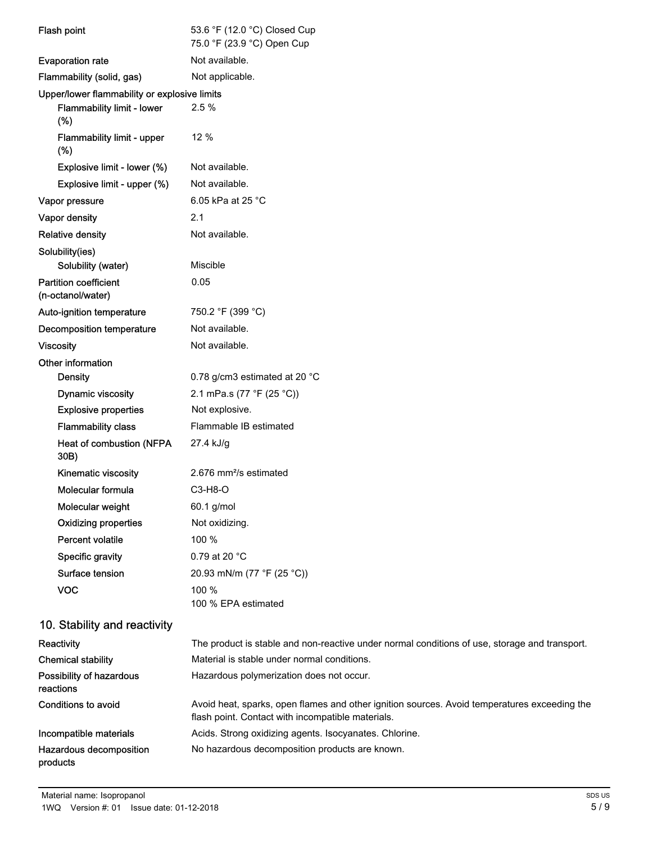| Flash point                                       | 53.6 °F (12.0 °C) Closed Cup<br>75.0 °F (23.9 °C) Open Cup |  |  |
|---------------------------------------------------|------------------------------------------------------------|--|--|
| <b>Evaporation rate</b>                           | Not available.                                             |  |  |
| Flammability (solid, gas)                         | Not applicable.                                            |  |  |
| Upper/lower flammability or explosive limits      |                                                            |  |  |
| Flammability limit - lower<br>(%)                 | 2.5%                                                       |  |  |
| Flammability limit - upper<br>(%)                 | 12 %                                                       |  |  |
| Explosive limit - lower (%)                       | Not available.                                             |  |  |
| Explosive limit - upper (%)                       | Not available.                                             |  |  |
| Vapor pressure                                    | 6.05 kPa at 25 °C                                          |  |  |
| Vapor density                                     | 2.1                                                        |  |  |
| <b>Relative density</b>                           | Not available.                                             |  |  |
| Solubility(ies)<br>Solubility (water)             | Miscible                                                   |  |  |
| <b>Partition coefficient</b><br>(n-octanol/water) | 0.05                                                       |  |  |
| Auto-ignition temperature                         | 750.2 °F (399 °C)                                          |  |  |
| <b>Decomposition temperature</b>                  | Not available.                                             |  |  |
| <b>Viscosity</b>                                  | Not available.                                             |  |  |
| Other information                                 |                                                            |  |  |
| <b>Density</b>                                    | 0.78 g/cm3 estimated at 20 °C                              |  |  |
| Dynamic viscosity                                 | 2.1 mPa.s (77 °F (25 °C))                                  |  |  |
| <b>Explosive properties</b>                       | Not explosive.                                             |  |  |
| <b>Flammability class</b>                         | Flammable IB estimated                                     |  |  |
| Heat of combustion (NFPA<br>30B)                  | 27.4 kJ/g                                                  |  |  |
| Kinematic viscosity                               | 2.676 mm <sup>2</sup> /s estimated                         |  |  |
| Molecular formula                                 | $C3-H8-O$                                                  |  |  |
| Molecular weight                                  | 60.1 g/mol                                                 |  |  |
| <b>Oxidizing properties</b>                       | Not oxidizing.                                             |  |  |
| Percent volatile                                  | 100 %                                                      |  |  |
| <b>Specific gravity</b>                           | 0.79 at 20 °C                                              |  |  |
| Surface tension                                   | 20.93 mN/m (77 °F (25 °C))                                 |  |  |
| <b>VOC</b>                                        | 100 %<br>100 % EPA estimated                               |  |  |
| 10. Stability and reactivity                      |                                                            |  |  |

| Reactivity                            | The product is stable and non-reactive under normal conditions of use, storage and transport.                                                     |
|---------------------------------------|---------------------------------------------------------------------------------------------------------------------------------------------------|
| <b>Chemical stability</b>             | Material is stable under normal conditions.                                                                                                       |
| Possibility of hazardous<br>reactions | Hazardous polymerization does not occur.                                                                                                          |
| Conditions to avoid                   | Avoid heat, sparks, open flames and other ignition sources. Avoid temperatures exceeding the<br>flash point. Contact with incompatible materials. |
| Incompatible materials                | Acids. Strong oxidizing agents. Isocyanates. Chlorine.                                                                                            |
| Hazardous decomposition<br>products   | No hazardous decomposition products are known.                                                                                                    |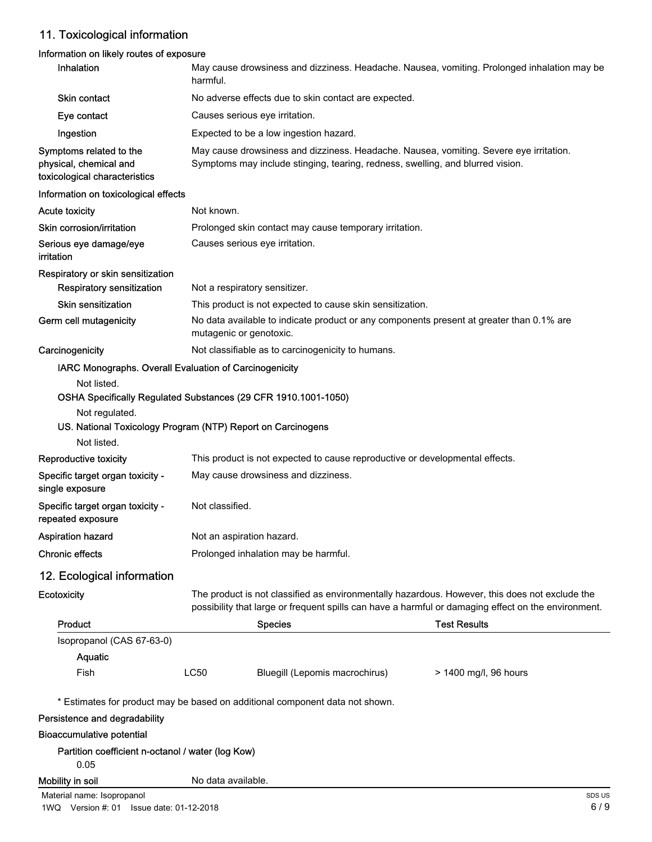# 11. Toxicological information

## Information on likely routes of exposure

| Inhalation                                                                                   | harmful.           |                                                                                                                                                                                                       | May cause drowsiness and dizziness. Headache. Nausea, vomiting. Prolonged inhalation may be |  |
|----------------------------------------------------------------------------------------------|--------------------|-------------------------------------------------------------------------------------------------------------------------------------------------------------------------------------------------------|---------------------------------------------------------------------------------------------|--|
| Skin contact                                                                                 |                    | No adverse effects due to skin contact are expected.                                                                                                                                                  |                                                                                             |  |
| Eye contact                                                                                  |                    | Causes serious eye irritation.                                                                                                                                                                        |                                                                                             |  |
| Ingestion                                                                                    |                    | Expected to be a low ingestion hazard.                                                                                                                                                                |                                                                                             |  |
| Symptoms related to the<br>physical, chemical and<br>toxicological characteristics           |                    | May cause drowsiness and dizziness. Headache. Nausea, vomiting. Severe eye irritation.<br>Symptoms may include stinging, tearing, redness, swelling, and blurred vision.                              |                                                                                             |  |
| Information on toxicological effects                                                         |                    |                                                                                                                                                                                                       |                                                                                             |  |
| <b>Acute toxicity</b>                                                                        | Not known.         |                                                                                                                                                                                                       |                                                                                             |  |
| Skin corrosion/irritation                                                                    |                    | Prolonged skin contact may cause temporary irritation.                                                                                                                                                |                                                                                             |  |
| Serious eye damage/eye<br>irritation                                                         |                    | Causes serious eye irritation.                                                                                                                                                                        |                                                                                             |  |
| Respiratory or skin sensitization                                                            |                    |                                                                                                                                                                                                       |                                                                                             |  |
| <b>Respiratory sensitization</b>                                                             |                    | Not a respiratory sensitizer.                                                                                                                                                                         |                                                                                             |  |
| <b>Skin sensitization</b>                                                                    |                    | This product is not expected to cause skin sensitization.                                                                                                                                             |                                                                                             |  |
| Germ cell mutagenicity                                                                       |                    | No data available to indicate product or any components present at greater than 0.1% are<br>mutagenic or genotoxic.                                                                                   |                                                                                             |  |
| Carcinogenicity                                                                              |                    | Not classifiable as to carcinogenicity to humans.                                                                                                                                                     |                                                                                             |  |
| IARC Monographs. Overall Evaluation of Carcinogenicity                                       |                    |                                                                                                                                                                                                       |                                                                                             |  |
| Not regulated.<br>US. National Toxicology Program (NTP) Report on Carcinogens<br>Not listed. |                    | OSHA Specifically Regulated Substances (29 CFR 1910.1001-1050)                                                                                                                                        |                                                                                             |  |
| Reproductive toxicity                                                                        |                    | This product is not expected to cause reproductive or developmental effects.                                                                                                                          |                                                                                             |  |
| Specific target organ toxicity -<br>single exposure                                          |                    | May cause drowsiness and dizziness.                                                                                                                                                                   |                                                                                             |  |
| Specific target organ toxicity -<br>repeated exposure                                        | Not classified.    |                                                                                                                                                                                                       |                                                                                             |  |
| <b>Aspiration hazard</b>                                                                     |                    | Not an aspiration hazard.                                                                                                                                                                             |                                                                                             |  |
| <b>Chronic effects</b>                                                                       |                    | Prolonged inhalation may be harmful.                                                                                                                                                                  |                                                                                             |  |
| 12. Ecological information                                                                   |                    |                                                                                                                                                                                                       |                                                                                             |  |
| Ecotoxicity                                                                                  |                    | The product is not classified as environmentally hazardous. However, this does not exclude the<br>possibility that large or frequent spills can have a harmful or damaging effect on the environment. |                                                                                             |  |
| <b>Product</b>                                                                               |                    | <b>Species</b>                                                                                                                                                                                        | <b>Test Results</b>                                                                         |  |
| Isopropanol (CAS 67-63-0)<br>Aquatic                                                         |                    |                                                                                                                                                                                                       |                                                                                             |  |
| Fish                                                                                         | <b>LC50</b>        | Bluegill (Lepomis macrochirus)                                                                                                                                                                        | > 1400 mg/l, 96 hours                                                                       |  |
|                                                                                              |                    | * Estimates for product may be based on additional component data not shown.                                                                                                                          |                                                                                             |  |
| Persistence and degradability                                                                |                    |                                                                                                                                                                                                       |                                                                                             |  |
| <b>Bioaccumulative potential</b>                                                             |                    |                                                                                                                                                                                                       |                                                                                             |  |
| Partition coefficient n-octanol / water (log Kow)<br>0.05                                    |                    |                                                                                                                                                                                                       |                                                                                             |  |
| Mobility in soil                                                                             | No data available. |                                                                                                                                                                                                       |                                                                                             |  |
| Material name: Isopropanol                                                                   |                    |                                                                                                                                                                                                       | SDS <sub>L</sub>                                                                            |  |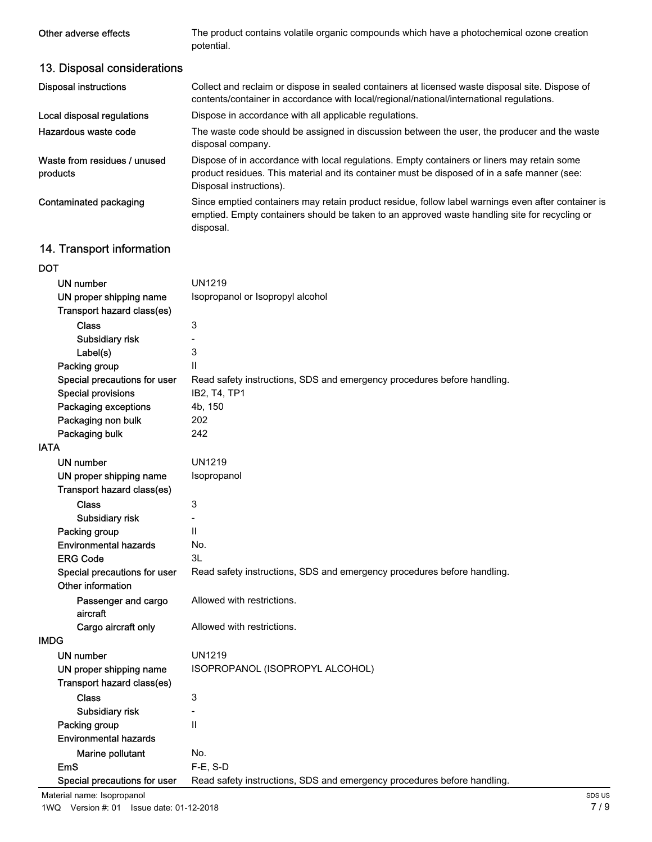| Other adverse effects                    | The product contains volatile organic compounds which have a photochemical ozone creation<br>potential.                                                                                                                |
|------------------------------------------|------------------------------------------------------------------------------------------------------------------------------------------------------------------------------------------------------------------------|
| 13. Disposal considerations              |                                                                                                                                                                                                                        |
| <b>Disposal instructions</b>             | Collect and reclaim or dispose in sealed containers at licensed waste disposal site. Dispose of<br>contents/container in accordance with local/regional/national/international regulations.                            |
| Local disposal regulations               | Dispose in accordance with all applicable regulations.                                                                                                                                                                 |
| Hazardous waste code                     | The waste code should be assigned in discussion between the user, the producer and the waste<br>disposal company.                                                                                                      |
| Waste from residues / unused<br>products | Dispose of in accordance with local regulations. Empty containers or liners may retain some<br>product residues. This material and its container must be disposed of in a safe manner (see:<br>Disposal instructions). |
| Contaminated packaging                   | Since emptied containers may retain product residue, follow label warnings even after container is<br>emptied. Empty containers should be taken to an approved waste handling site for recycling or<br>disposal.       |

# 14. Transport information

# DOT

|                                 | <b>UN1219</b>                                                           |
|---------------------------------|-------------------------------------------------------------------------|
| UN number                       |                                                                         |
| UN proper shipping name         | Isopropanol or Isopropyl alcohol                                        |
| Transport hazard class(es)      |                                                                         |
| <b>Class</b>                    | 3                                                                       |
| Subsidiary risk                 |                                                                         |
| Label(s)                        | 3                                                                       |
| Packing group                   | Ш                                                                       |
| Special precautions for user    | Read safety instructions, SDS and emergency procedures before handling. |
| <b>Special provisions</b>       | IB2, T4, TP1                                                            |
| Packaging exceptions            | 4b, 150                                                                 |
| Packaging non bulk              | 202                                                                     |
| Packaging bulk                  | 242                                                                     |
| <b>IATA</b>                     |                                                                         |
| UN number                       | <b>UN1219</b>                                                           |
| UN proper shipping name         | Isopropanol                                                             |
| Transport hazard class(es)      |                                                                         |
| <b>Class</b>                    | 3                                                                       |
| Subsidiary risk                 |                                                                         |
| Packing group                   | Ш                                                                       |
| <b>Environmental hazards</b>    | No.                                                                     |
| <b>ERG Code</b>                 | 3L                                                                      |
| Special precautions for user    | Read safety instructions, SDS and emergency procedures before handling. |
| Other information               |                                                                         |
| Passenger and cargo<br>aircraft | Allowed with restrictions.                                              |
| Cargo aircraft only             | Allowed with restrictions.                                              |
| <b>IMDG</b>                     |                                                                         |
| <b>UN number</b>                | <b>UN1219</b>                                                           |
| UN proper shipping name         | ISOPROPANOL (ISOPROPYL ALCOHOL)                                         |
| Transport hazard class(es)      |                                                                         |
|                                 |                                                                         |
| <b>Class</b>                    | 3                                                                       |
| Subsidiary risk                 | $\qquad \qquad -$                                                       |
| Packing group                   | $\mathbf{H}$                                                            |
| <b>Environmental hazards</b>    |                                                                         |
| Marine pollutant                | No.                                                                     |
| <b>EmS</b>                      | F-E, S-D                                                                |
| Special precautions for user    | Read safety instructions, SDS and emergency procedures before handling. |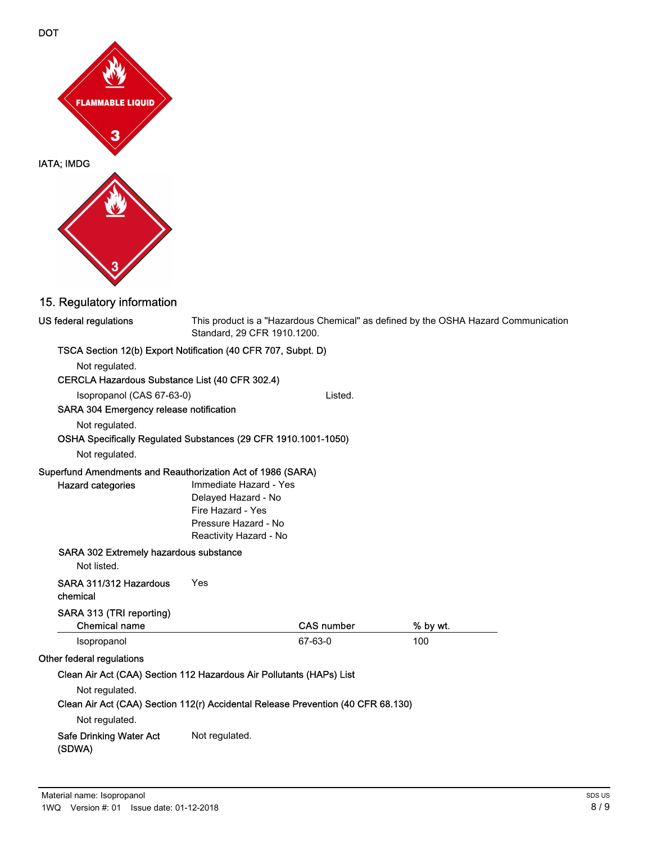



# 15. Regulatory information

| US federal regulations                                                           | This product is a "Hazardous Chemical" as defined by the OSHA Hazard Communication<br>Standard, 29 CFR 1910.1200. |                   |          |  |
|----------------------------------------------------------------------------------|-------------------------------------------------------------------------------------------------------------------|-------------------|----------|--|
| TSCA Section 12(b) Export Notification (40 CFR 707, Subpt. D)                    |                                                                                                                   |                   |          |  |
| Not regulated.                                                                   |                                                                                                                   |                   |          |  |
| CERCLA Hazardous Substance List (40 CFR 302.4)                                   |                                                                                                                   |                   |          |  |
| Isopropanol (CAS 67-63-0)                                                        |                                                                                                                   | Listed.           |          |  |
| SARA 304 Emergency release notification                                          |                                                                                                                   |                   |          |  |
| Not regulated.                                                                   |                                                                                                                   |                   |          |  |
| OSHA Specifically Regulated Substances (29 CFR 1910.1001-1050)                   |                                                                                                                   |                   |          |  |
| Not regulated.                                                                   |                                                                                                                   |                   |          |  |
| Superfund Amendments and Reauthorization Act of 1986 (SARA)                      |                                                                                                                   |                   |          |  |
| <b>Hazard categories</b>                                                         | Immediate Hazard - Yes                                                                                            |                   |          |  |
|                                                                                  | Delayed Hazard - No                                                                                               |                   |          |  |
|                                                                                  | Fire Hazard - Yes                                                                                                 |                   |          |  |
|                                                                                  | Pressure Hazard - No                                                                                              |                   |          |  |
|                                                                                  | Reactivity Hazard - No                                                                                            |                   |          |  |
| SARA 302 Extremely hazardous substance                                           |                                                                                                                   |                   |          |  |
| Not listed.                                                                      |                                                                                                                   |                   |          |  |
| SARA 311/312 Hazardous<br>chemical                                               | Yes                                                                                                               |                   |          |  |
| SARA 313 (TRI reporting)                                                         |                                                                                                                   |                   |          |  |
| Chemical name                                                                    |                                                                                                                   | <b>CAS number</b> | % by wt. |  |
| Isopropanol                                                                      |                                                                                                                   | 67-63-0           | 100      |  |
| Other federal regulations                                                        |                                                                                                                   |                   |          |  |
| Clean Air Act (CAA) Section 112 Hazardous Air Pollutants (HAPs) List             |                                                                                                                   |                   |          |  |
| Not regulated.                                                                   |                                                                                                                   |                   |          |  |
| Clean Air Act (CAA) Section 112(r) Accidental Release Prevention (40 CFR 68.130) |                                                                                                                   |                   |          |  |
| Not regulated.                                                                   |                                                                                                                   |                   |          |  |
| <b>Safe Drinking Water Act</b><br>(SDWA)                                         | Not regulated.                                                                                                    |                   |          |  |
|                                                                                  |                                                                                                                   |                   |          |  |